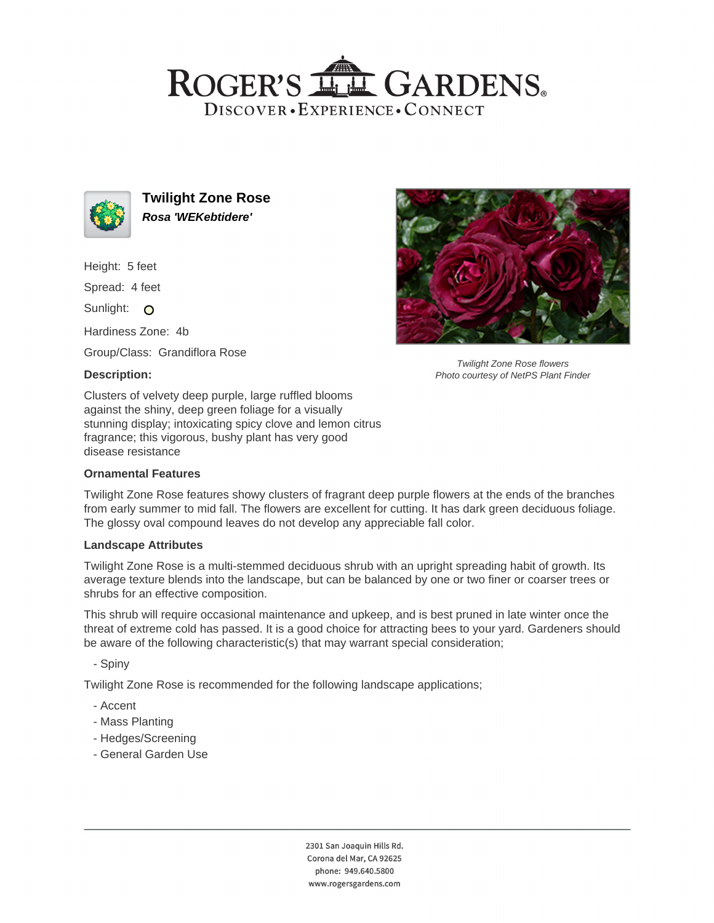# ROGER'S LL GARDENS. DISCOVER · EXPERIENCE · CONNECT



**Twilight Zone Rose Rosa 'WEKebtidere'**

Height: 5 feet

Spread: 4 feet

Sunlight: O

Hardiness Zone: 4b

Group/Class: Grandiflora Rose

### **Description:**



Twilight Zone Rose flowers Photo courtesy of NetPS Plant Finder

Clusters of velvety deep purple, large ruffled blooms against the shiny, deep green foliage for a visually stunning display; intoxicating spicy clove and lemon citrus fragrance; this vigorous, bushy plant has very good disease resistance

#### **Ornamental Features**

Twilight Zone Rose features showy clusters of fragrant deep purple flowers at the ends of the branches from early summer to mid fall. The flowers are excellent for cutting. It has dark green deciduous foliage. The glossy oval compound leaves do not develop any appreciable fall color.

#### **Landscape Attributes**

Twilight Zone Rose is a multi-stemmed deciduous shrub with an upright spreading habit of growth. Its average texture blends into the landscape, but can be balanced by one or two finer or coarser trees or shrubs for an effective composition.

This shrub will require occasional maintenance and upkeep, and is best pruned in late winter once the threat of extreme cold has passed. It is a good choice for attracting bees to your yard. Gardeners should be aware of the following characteristic(s) that may warrant special consideration;

- Spiny

Twilight Zone Rose is recommended for the following landscape applications;

- Accent
- Mass Planting
- Hedges/Screening
- General Garden Use

2301 San Joaquin Hills Rd. Corona del Mar, CA 92625 phone: 949.640.5800 www.rogersgardens.com